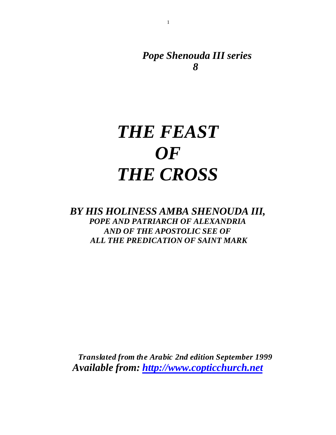*Pope Shenouda III series 8*

# *THE FEAST OF THE CROSS*

1

*BY HIS HOLINESS AMBA SHENOUDA III, POPE AND PATRIARCH OF ALEXANDRIA AND OF THE APOSTOLIC SEE OF ALL THE PREDICATION OF SAINT MARK*

 *Translated from the Arabic 2nd edition September 1999 Available from:<http://www.copticchurch.net>*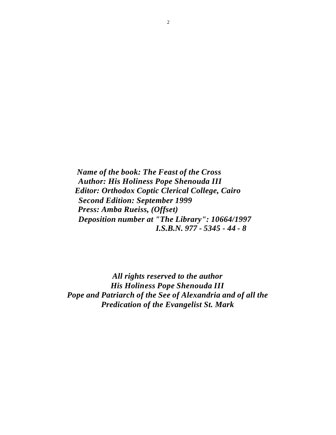*Name of the book: The Feast of the Cross Author: His Holiness Pope Shenouda III Editor: Orthodox Coptic Clerical College, Cairo Second Edition: September 1999 Press: Amba Rueiss, (Offset) Deposition number at "The Library": 10664/1997 I.S.B.N. 977 - 5345 - 44 - 8*

*All rights reserved to the author His Holiness Pope Shenouda III Pope and Patriarch of the See of Alexandria and of all the Predication of the Evangelist St. Mark*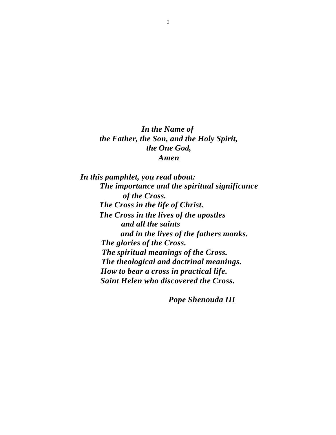*In the Name of the Father, the Son, and the Holy Spirit, the One God, Amen*

 *In this pamphlet, you read about: The importance and the spiritual significance of the Cross. The Cross in the life of Christ. The Cross in the lives of the apostles and all the saints and in the lives of the fathers monks. The glories of the Cross. The spiritual meanings of the Cross. The theological and doctrinal meanings. How to bear a cross in practical life. Saint Helen who discovered the Cross.*

 *Pope Shenouda III*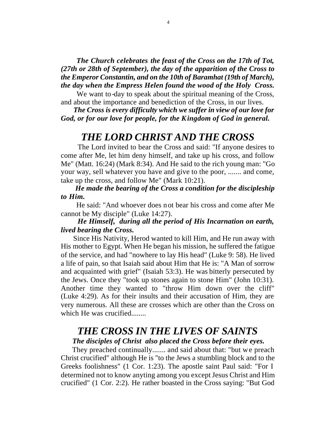*The Church celebrates the feast of the Cross on the 17th of Tot, (27th or 28th of September), the day of the apparition of the Cross to the Emperor Constantin, and on the 10th of Baramhat (19th of March), the day when the Empress Helen found the wood of the Holy Cross.*

We want to-day to speak about the spiritual meaning of the Cross, and about the importance and benediction of the Cross, in our lives.

 *The Cross is every difficulty which we suffer in view of our love for God, or for our love for people, for the Kingdom of God in general.*

### *THE LORD CHRIST AND THE CROSS*

 The Lord invited to bear the Cross and said: "If anyone desires to come after Me, let him deny himself, and take up his cross, and follow Me" (Matt. 16:24) (Mark 8:34). And He said to the rich young man: "Go your way, sell whatever you have and give to the poor, ....... and come, take up the cross, and follow Me" (Mark 10:21).

 *He made the bearing of the Cross a condition for the discipleship to Him.*

 He said: "And whoever does not bear his cross and come after Me cannot be My disciple" (Luke 14:27).

### *He Himself, during all the period of His Incarnation on earth, lived bearing the Cross.*

 Since His Nativity, Herod wanted to kill Him, and He run away with His mother to Egypt. When He began his mission, he suffered the fatigue of the service, and had "nowhere to lay His head" (Luke 9: 58). He lived a life of pain, so that Isaiah said about Him that He is: "A Man of sorrow and acquainted with grief" (Isaiah 53:3). He was bitterly persecuted by the Jews. Once they "took up stones again to stone Him" (John 10:31). Another time they wanted to "throw Him down over the cliff" (Luke 4:29). As for their insults and their accusation of Him, they are very numerous. All these are crosses which are other than the Cross on which He was crucified.......

### *THE CROSS IN THE LIVES OF SAINTS*

#### *The disciples of Christ also placed the Cross before their eyes.*

 They preached continually....... and said about that: "but we preach Christ crucified" although He is "to the Jews a stumbling block and to the Greeks foolishness" (1 Cor. 1:23). The apostle saint Paul said: "For I determined not to know anyting among you except Jesus Christ and Him crucified" (1 Cor. 2:2). He rather boasted in the Cross saying: "But God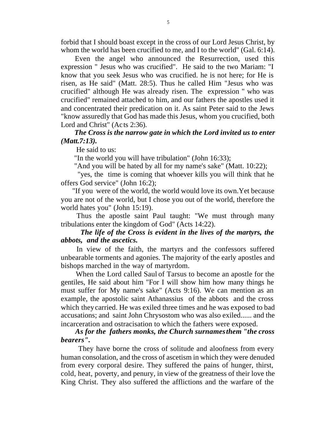forbid that I should boast except in the cross of our Lord Jesus Christ, by whom the world has been crucified to me, and I to the world" (Gal. 6:14).

Even the angel who announced the Resurrection, used this expression " Jesus who was crucified". He said to the two Mariam: "I know that you seek Jesus who was crucified. he is not here; for He is risen, as He said" (Matt. 28:5). Thus he called Him "Jesus who was crucified" although He was already risen. The expression " who was crucified" remained attached to him, and our fathers the apostles used it and concentrated their predication on it. As saint Peter said to the Jews "know assuredly that God has made this Jesus, whom you crucified, both Lord and Christ" (Acts 2:36).

### *The Cross is the narrow gate in which the Lord invited us to enter (Matt.7:13).*

He said to us:

"In the world you will have tribulation" (John 16:33);

"And you will be hated by all for my name's sake" (Matt. 10:22);

 "yes, the time is coming that whoever kills you will think that he offers God service" (John 16:2);

 "If you were of the world, the world would love its own.Yet because you are not of the world, but I chose you out of the world, therefore the world hates you" (John 15:19).

 Thus the apostle saint Paul taught: "We must through many tribulations enter the kingdom of God" (Acts 14:22).

### *The life of the Cross is evident in the lives of the martyrs, the abbots, and the ascetics.*

 In view of the faith, the martyrs and the confessors suffered unbearable torments and agonies. The majority of the early apostles and bishops marched in the way of martyrdom.

 When the Lord called Saul of Tarsus to become an apostle for the gentiles, He said about him "For I will show him how many things he must suffer for My name's sake" (Acts 9:16). We can mention as an example, the apostolic saint Athanassius of the abbots and the cross which they carried. He was exiled three times and he was exposed to bad accusations; and saint John Chrysostom who was also exiled...... and the incarceration and ostracisation to which the fathers were exposed.

 *As for the fathers monks, the Church surnames them "the cross bearers".*

 They have borne the cross of solitude and aloofness from every human consolation, and the cross of ascetism in which they were denuded from every corporal desire. They suffered the pains of hunger, thirst, cold, heat, poverty, and penury, in view of the greatness of their love the King Christ. They also suffered the afflictions and the warfare of the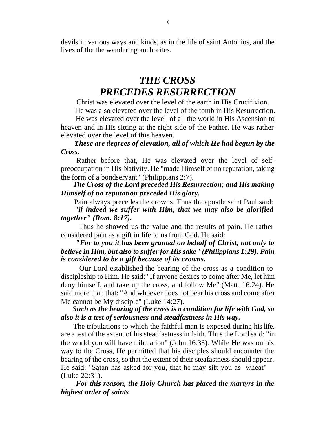devils in various ways and kinds, as in the life of saint Antonios, and the lives of the the wandering anchorites.

# *THE CROSS PRECEDES RESURRECTION*

 Christ was elevated over the level of the earth in His Crucifixion. He was also elevated over the level of the tomb in His Resurrection.

 He was elevated over the level of all the world in His Ascension to heaven and in His sitting at the right side of the Father. He was rather elevated over the level of this heaven.

### *These are degrees of elevation, all of which He had begun by the Cross.*

 Rather before that, He was elevated over the level of selfpreoccupation in His Nativity. He "made Himself of no reputation, taking the form of a bondservant" (Philippians 2:7).

 *The Cross of the Lord preceded His Resurrection; and His making Himself of no reputation preceded His glory.*

 Pain always precedes the crowns. Thus the apostle saint Paul said:  *"if indeed we suffer with Him, that we may also be glorified* 

### *together" (Rom. 8:17).*

 Thus he showed us the value and the results of pain. He rather considered pain as a gift in life to us from God. He said:

 *"For to you it has been granted on behalf of Christ, not only to believe in Him, but also to suffer for His sake" (Philippians 1:29). Pain is considered to be a gift because of its crowns.*

 Our Lord established the bearing of the cross as a condition to discipleship to Him. He said: "If anyone desires to come after Me, let him deny himself, and take up the cross, and follow Me" (Matt. 16:24). He said more than that: "And whoever does not bear his cross and come after Me cannot be My disciple" (Luke 14:27).

### *Such as the bearing of the cross is a condition for life with God, so also it is a test of seriousness and steadfastness in His way.*

 The tribulations to which the faithful man is exposed during his life, are a test of the extent of his steadfastness in faith. Thus the Lord said: "in the world you will have tribulation" (John 16:33). While He was on his way to the Cross, He permitted that his disciples should encounter the bearing of the cross, so that the extent of their steafastness should appear. He said: "Satan has asked for you, that he may sift you as wheat" (Luke 22:31).

 *For this reason, the Holy Church has placed the martyrs in the highest order of saints*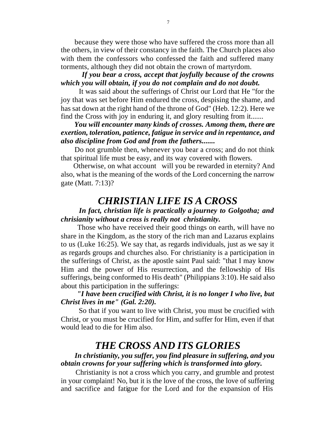because they were those who have suffered the cross more than all the others, in view of their constancy in the faith. The Church places also with them the confessors who confessed the faith and suffered many torments, although they did not obtain the crown of martyrdom.

### *If you bear a cross, accept that joyfully because of the crowns which you will obtain, if you do not complain and do not doubt.*

 It was said about the sufferings of Christ our Lord that He "for the joy that was set before Him endured the cross, despising the shame, and has sat down at the right hand of the throne of God" (Heb. 12:2). Here we find the Cross with joy in enduring it, and glory resulting from it.......

 *You will encounter many kinds of crosses. Among them, there are exertion, toleration, patience, fatigue in service and in repentance, and also discipline from God and from the fathers.......*

 Do not grumble then, whenever you bear a cross; and do not think that spiritual life must be easy, and its way covered with flowers.

 Otherwise, on what account will you be rewarded in eternity? And also, what is the meaning of the words of the Lord concerning the narrow gate (Matt. 7:13)?

### *CHRISTIAN LIFE IS A CROSS*

### *In fact, christian life is practically a journey to Golgotha; and chrisianity without a cross is really not christianity.*

 Those who have received their good things on earth, will have no share in the Kingdom, as the story of the rich man and Lazarus explains to us (Luke 16:25). We say that, as regards individuals, just as we say it as regards groups and churches also. For christianity is a participation in the sufferings of Christ, as the apostle saint Paul said: "that I may know Him and the power of His resurrection, and the fellowship of His sufferings, being conformed to His death" (Philippians 3:10). He said also about this participation in the sufferings:

### *"I have been crucified with Christ, it is no longer I who live, but Christ lives in me" (Gal. 2:20).*

 So that if you want to live with Christ, you must be crucified with Christ, or you must be crucified for Him, and suffer for Him, even if that would lead to die for Him also.

### *THE CROSS AND ITS GLORIES*

### *In christianity, you suffer, you find pleasure in suffering, and you obtain crowns for your suffering which is transformed into glory.*

 Christianity is not a cross which you carry, and grumble and protest in your complaint! No, but it is the love of the cross, the love of suffering and sacrifice and fatigue for the Lord and for the expansion of His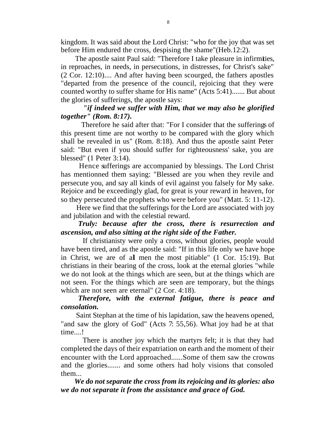kingdom. It was said about the Lord Christ: "who for the joy that was set before Him endured the cross, despising the shame"(Heb.12:2).

 The apostle saint Paul said: "Therefore I take pleasure in infirmities, in reproaches, in needs, in persecutions, in distresses, for Christ's sake" (2 Cor. 12:10).... And after having been scourged, the fathers apostles "departed from the presence of the council, rejoicing that they were counted worthy to suffer shame for His name" (Acts 5:41)....... But about the glories of sufferings, the apostle says:

### *"if indeed we suffer with Him, that we may also be glorified together" (Rom. 8:17).*

 Therefore he said after that: "For I consider that the sufferings of this present time are not worthy to be compared with the glory which shall be revealed in us" (Rom. 8:18). And thus the apostle saint Peter said: "But even if you should suffer for righteousness' sake, you are blessed" (1 Peter 3:14).

 Hence sufferings are accompanied by blessings. The Lord Christ has mentionned them saying: "Blessed are you when they revile and persecute you, and say all kinds of evil against you falsely for My sake. Rejoice and be exceedingly glad, for great is your reward in heaven, for so they persecuted the prophets who were before you" (Matt. 5: 11-12).

 Here we find that the sufferings for the Lord are associated with joy and jubilation and with the celestial reward.

### *Truly: because after the cross, there is resurrection and ascension, and also sitting at the right side of the Father.*

 If christianisty were only a cross, without glories, people would have been tired, and as the apostle said: "If in this life only we have hope in Christ, we are of all men the most pitiable" (1 Cor. 15:19). But christians in their bearing of the cross, look at the eternal glories "while we do not look at the things which are seen, but at the things which are not seen. For the things which are seen are temporary, but the things which are not seen are eternal" (2 Cor. 4:18).

### *Therefore, with the external fatigue, there is peace and consolation.*

 Saint Stephan at the time of his lapidation, saw the heavens opened, "and saw the glory of God" (Acts 7: 55,56). What joy had he at that time....!

 There is another joy which the martyrs felt; it is that they had completed the days of their expatriation on earth and the moment of their encounter with the Lord approached......Some of them saw the crowns and the glories....... and some others had holy visions that consoled them...

 *We do not separate the cross from its rejoicing and its glories: also we do not separate it from the assistance and grace of God.*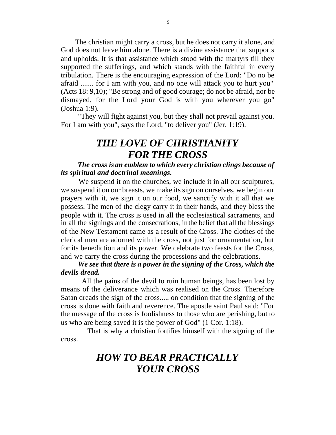The christian might carry a cross, but he does not carry it alone, and God does not leave him alone. There is a divine assistance that supports and upholds. It is that assistance which stood with the martyrs till they supported the sufferings, and which stands with the faithful in every tribulation. There is the encouraging expression of the Lord: "Do no be afraid ....... for I am with you, and no one will attack you to hurt you" (Acts 18: 9,10); "Be strong and of good courage; do not be afraid, nor be dismayed, for the Lord your God is with you wherever you go" (Joshua 1:9).

 "They will fight against you, but they shall not prevail against you. For I am with you", says the Lord, "to deliver you" (Jer. 1:19).

## *THE LOVE OF CHRISTIANITY FOR THE CROSS*

 *The cross is an emblem to which every christian clings because of its spiritual and doctrinal meanings.*

 We suspend it on the churches, we include it in all our sculptures, we suspend it on our breasts, we make its sign on ourselves, we begin our prayers with it, we sign it on our food, we sanctify with it all that we possess. The men of the clegy carry it in their hands, and they bless the people with it. The cross is used in all the ecclesiastical sacraments, and in all the signings and the consecrations, in the belief that all the blessings of the New Testament came as a result of the Cross. The clothes of the clerical men are adorned with the cross, not just for ornamentation, but for its benediction and its power. We celebrate two feasts for the Cross, and we carry the cross during the processions and the celebrations.

### *We see that there is a power in the signing of the Cross, which the devils dread.*

 All the pains of the devil to ruin human beings, has been lost by means of the deliverance which was realised on the Cross. Therefore Satan dreads the sign of the cross..... on condition that the signing of the cross is done with faith and reverence. The apostle saint Paul said: "For the message of the cross is foolishness to those who are perishing, but to us who are being saved it is the power of God" (1 Cor. 1:18).

 That is why a christian fortifies himself with the signing of the cross.

# *HOW TO BEAR PRACTICALLY YOUR CROSS*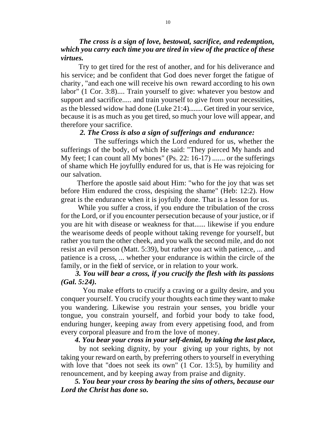*The cross is a sign of love, bestowal, sacrifice, and redemption, which you carry each time you are tired in view of the practice of these virtues.*

 Try to get tired for the rest of another, and for his deliverance and his service; and be confident that God does never forget the fatigue of charity, "and each one will receive his own reward according to his own labor" (1 Cor. 3:8).... Train yourself to give: whatever you bestow and support and sacrifice..... and train yourself to give from your necessities, as the blessed widow had done (Luke 21:4)........ Get tired in your service, because it is as much as you get tired, so much your love will appear, and therefore your sacrifice.

#### *2. The Cross is also a sign of sufferings and endurance:*

 The sufferings which the Lord endured for us, whether the sufferings of the body, of which He said: "They pierced My hands and My feet; I can count all My bones" (Ps. 22: 16-17) ....... or the sufferings of shame which He joyfullly endured for us, that is He was rejoicing for our salvation.

 Therfore the apostle said about Him: "who for the joy that was set before Him endured the cross, despising the shame" (Heb: 12:2). How great is the endurance when it is joyfully done. That is a lesson for us.

 While you suffer a cross, if you endure the tribulation of the cross for the Lord, or if you encounter persecution because of your justice, or if you are hit with disease or weakness for that...... likewise if you endure the wearisome deeds of people without taking revenge for yourself, but rather you turn the other cheek, and you walk the second mile, and do not resist an evil person (Matt. 5:39), but rather you act with patience, ... and patience is a cross, ... whether your endurance is within the circle of the family, or in the field of service, or in relation to your work.

### *3. You will bear a cross, if you crucify the flesh with its passions (Gal. 5:24).*

 You make efforts to crucify a craving or a guilty desire, and you conquer yourself. You crucify your thoughts each time they want to make you wandering. Likewise you restrain your senses, you bridle your tongue, you constrain yourself, and forbid your body to take food, enduring hunger, keeping away from every appetising food, and from every corporal pleasure and from the love of money.

### *4. You bear your cross in your self-denial, by taking the last place,*

 by not seeking dignity, by your giving up your rights, by not taking your reward on earth, by preferring others to yourself in everything with love that "does not seek its own" (1 Cor. 13:5), by humility and renouncement, and by keeping away from praise and dignity.

 *5. You bear your cross by bearing the sins of others, because our Lord the Christ has done so.*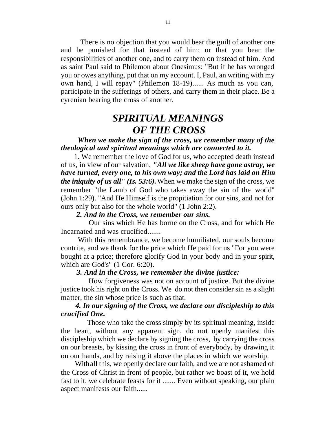There is no objection that you would bear the guilt of another one and be punished for that instead of him; or that you bear the responsibilities of another one, and to carry them on instead of him. And as saint Paul said to Philemon about Onesimus: "But if he has wronged you or owes anything, put that on my account. I, Paul, an writing with my own hand, I will repay" (Philemon 18-19)...... As much as you can, participate in the sufferings of others, and carry them in their place. Be a cyrenian bearing the cross of another.

# *SPIRITUAL MEANINGS OF THE CROSS*

 *When we make the sign of the cross, we remember many of the theological and spiritual meanings which are connected to it.*

 1. We remember the love of God for us, who accepted death instead of us, in view of our salvation. *"All we like sheep have gone astray, we have turned, every one, to his own way; and the Lord has laid on Him the iniquity of us all" (Is. 53:6).* When we make the sign of the cross, we remember "the Lamb of God who takes away the sin of the world" (John 1:29). "And He Himself is the propitiation for our sins, and not for ours only but also for the whole world" (1 John 2:2).

### *2. And in the Cross, we remember our sins.*

 Our sins which He has borne on the Cross, and for which He Incarnated and was crucified.......

 With this remembrance, we become humiliated, our souls become contrite, and we thank for the price which He paid for us "For you were bought at a price; therefore glorify God in your body and in your spirit, which are God's" (1 Cor. 6:20).

### *3. And in the Cross, we remember the divine justice:*

 How forgiveness was not on account of justice. But the divine justice took his right on the Cross. We do not then consider sin as a slight matter, the sin whose price is such as that.

### *4. In our signing of the Cross, we declare our discipleship to this crucified One.*

 Those who take the cross simply by its spiritual meaning, inside the heart, without any apparent sign, do not openly manifest this discipleship which we declare by signing the cross, by carrying the cross on our breasts, by kissing the cross in front of everybody, by drawing it on our hands, and by raising it above the places in which we worship.

 With all this, we openly declare our faith, and we are not ashamed of the Cross of Christ in front of people, but rather we boast of it, we hold fast to it, we celebrate feasts for it ....... Even without speaking, our plain aspect manifests our faith......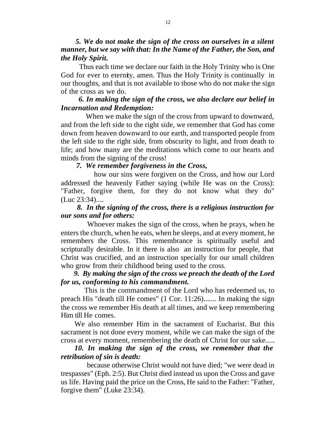### *5. We do not make the sign of the cross on ourselves in a silent manner, but we say with that: In the Name of the Father, the Son, and the Holy Spirit.*

 Thus each time we declare our faith in the Holy Trinity who is One God for ever to eternity, amen. Thus the Holy Trinity is continually in our thoughts, and that is not available to those who do not make the sign of the cross as we do.

### *6. In making the sign of the cross, we also declare our belief in Incarnation and Redemption:*

 When we make the sign of the cross from upward to downward, and from the left side to the right side, we remember that God has come down from heaven downward to our earth, and transported people from the left side to the right side, from obscurity to light, and from death to life; and how many are the meditations which come to our hearts and minds from the signing of the cross!

### *7. We remember forgiveness in the Cross,*

 how our sins were forgiven on the Cross, and how our Lord addressed the heavenly Father saying (while He was on the Cross): "Father, forgive them, for they do not know what they do" (Luc 23:34)....

### *8. In the signing of the cross, there is a religious instruction for our sons and for others:*

 Whoever makes the sign of the cross, when he prays, when he enters the church, when he eats, when he sleeps, and at every moment, he remembers the Cross. This remembrance is spiritually useful and scripturally desirable. In it there is also an instruction for people, that Christ was crucified, and an instruction specially for our small children who grow from their childhood being used to the cross.

### *9. By making the sign of the cross we preach the death of the Lord for us, conforming to his commandment.*

 This is the commandment of the Lord who has redeemed us, to preach His "death till He comes" (1 Cor. 11:26)....... In making the sign the cross we remember His death at all times, and we keep remembering Him till He comes.

 We also remember Him in the sacrament of Eucharist. But this sacrament is not done every moment, while we can make the sign of the cross at every moment, remembering the death of Christ for our sake.....

### *10. In making the sign of the cross, we remember that the retribution of sin is death:*

 because otherwise Christ would not have died; "we were dead in trespasses" (Eph. 2:5). But Christ died instead us upon the Cross and gave us life. Having paid the price on the Cross, He said to the Father: "Father, forgive them" (Luke 23:34).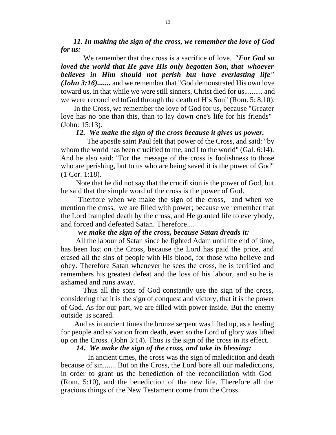*11. In making the sign of the cross, we remember the love of God for us:*

 We remember that the cross is a sacrifice of love. *"For God so loved the world that He gave His only begotten Son, that whoever believes in Him should not perish but have everlasting life" (John 3:16).......* and we remember that "God demonstrated His own love toward us, in that while we were still sinners, Christ died for us.......... and we were reconciled toGod through the death of His Son" (Rom. 5: 8,10).

 In the Cross, we remember the love of God for us, because "Greater love has no one than this, than to lay down one's life for his friends" (John: 15:13).

### *12. We make the sign of the cross because it gives us power.*

 The apostle saint Paul felt that power of the Cross, and said: "by whom the world has been crucified to me, and I to the world" (Gal. 6:14). And he also said: "For the message of the cross is foolishness to those who are perishing, but to us who are being saved it is the power of God" (1 Cor. 1:18).

 Note that he did not say that the crucifixion is the power of God, but he said that the simple word of the cross is the power of God.

 Therfore when we make the sign of the cross, and when we mention the cross, we are filled with power; because we remember that the Lord trampled death by the cross, and He granted life to everybody, and forced and defeated Satan. Therefore....

### *we make the sign of the cross, because Satan dreads it:*

 All the labour of Satan since he fighted Adam until the end of time, has been lost on the Cross, because the Lord has paid the price, and erased all the sins of people with His blood, for those who believe and obey. Therefore Satan whenever he sees the cross, he is terrified and remembers his greatest defeat and the loss of his labour, and so he is ashamed and runs away.

 Thus all the sons of God constantly use the sign of the cross, considering that it is the sign of conquest and victory, that it is the power of God. As for our part, we are filled with power inside. But the enemy outside is scared.

 And as in ancient times the bronze serpent was lifted up, as a healing for people and salvation from death, even so the Lord of glory was lifted up on the Cross. (John 3:14). Thus is the sign of the cross in its effect.

### *14. We make the sign of the cross, and take its blessing:*

 In ancient times, the cross was the sign of malediction and death because of sin....... But on the Cross, the Lord bore all our maledictions, in order to grant us the benediction of the reconciliation with God (Rom. 5:10), and the benediction of the new life. Therefore all the gracious things of the New Testament come from the Cross.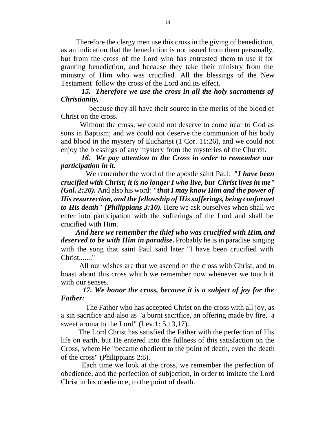Therefore the clergy men use this cross in the giving of benediction, as an indication that the benediction is not issued from them personally, but from the cross of the Lord who has entrusted them to use it for granting benediction, and because they take their ministry from the ministry of Him who was crucified. All the blessings of the New Testament follow the cross of the Lord and its effect.

### *15. Therefore we use the cross in all the holy sacraments of Christianity,*

 because they all have their source in the merits of the blood of Christ on the cross.

 Without the cross, we could not deserve to come near to God as sons in Baptism; and we could not deserve the communion of his body and blood in the mystery of Eucharist (1 Cor. 11:26), and we could not enjoy the blessings of any mystery from the mysteries of the Church.

 *16. We pay attention to the Cross in order to remember our participation in it.*

 We remember the word of the apostle saint Paul: *"I have been crucified with Christ; it is no longer I who live, but Christ lives in me" (Gal. 2:20).* And also his word: *"that I may know Him and the power of His resurrection, and the fellowship of His sufferings, being conformet to His death" (Philippians 3:10).* Here we ask ourselves when shall we enter into participation with the sufferings of the Lord and shall be crucified with Him.

 *And here we remember the thief who was crucified with Him, and deserved to be with Him in paradise.* Probably he is in paradise singing with the song that saint Paul said later "I have been crucified with Christ......."

 All our wishes are that we ascend on the cross with Christ, and to boast about this cross which we remember now whenever we touch it with our senses.

### *17. We honor the cross, because it is a subject of joy for the Father:*

 The Father who has accepted Christ on the cross with all joy, as a sin sacrifice and also as "a burnt sacrifice, an offering made by fire, a sweet aroma to the Lord" (Lev.1: 5,13,17).

 The Lord Christ has satisfied the Father with the perfection of His life on earth, but He entered into the fullness of this satisfaction on the Cross, where He "became obedient to the point of death, even the death of the cross" (Philippians 2:8).

 Each time we look at the cross, we remember the perfection of obedience, and the perfection of subjection, in order to imitate the Lord Christ in his obedie nce, to the point of death.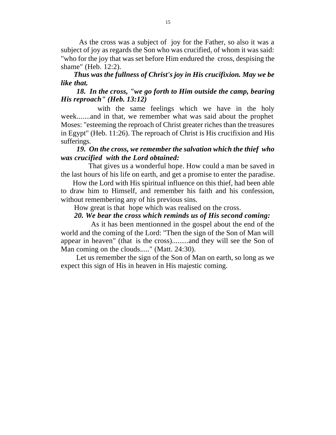As the cross was a subject of joy for the Father, so also it was a subject of joy as regards the Son who was crucified, of whom it was said: "who for the joy that was set before Him endured the cross, despising the shame" (Heb. 12:2).

### *Thus was the fullness of Christ's joy in His crucifixion. May we be like that.*

### *18. In the cross, "we go forth to Him outside the camp, bearing His reproach" (Heb. 13:12)*

with the same feelings which we have in the holy week.......and in that, we remember what was said about the prophet Moses: "esteeming the reproach of Christ greater riches than the treasures in Egypt" (Heb. 11:26). The reproach of Christ is His crucifixion and His sufferings.

### *19. On the cross, we remember the salvation which the thief who was crucified with the Lord obtained:*

 That gives us a wonderful hope. How could a man be saved in the last hours of his life on earth, and get a promise to enter the paradise.

 How the Lord with His spiritual influence on this thief, had been able to draw him to Himself, and remember his faith and his confession, without remembering any of his previous sins.

How great is that hope which was realised on the cross.

### *20. We bear the cross which reminds us of His second coming:*

 As it has been mentionned in the gospel about the end of the world and the coming of the Lord: "Then the sign of the Son of Man will appear in heaven" (that is the cross).........and they will see the Son of Man coming on the clouds....." (Matt. 24:30).

 Let us remember the sign of the Son of Man on earth, so long as we expect this sign of His in heaven in His majestic coming.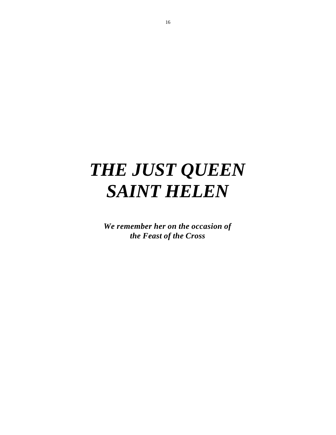# *THE JUST QUEEN SAINT HELEN*

*We remember her on the occasion of the Feast of the Cross*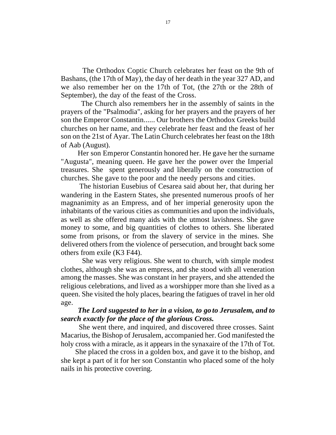The Orthodox Coptic Church celebrates her feast on the 9th of Bashans, (the 17th of May), the day of her death in the year 327 AD, and we also remember her on the 17th of Tot, (the 27th or the 28th of September), the day of the feast of the Cross.

 The Church also remembers her in the assembly of saints in the prayers of the "Psalmodia", asking for her prayers and the prayers of her son the Emperor Constantin...... Our brothers the Orthodox Greeks build churches on her name, and they celebrate her feast and the feast of her son on the 21st of Ayar. The Latin Church celebrates her feast on the 18th of Aab (August).

 Her son Emperor Constantin honored her. He gave her the surname "Augusta", meaning queen. He gave her the power over the Imperial treasures. She spent generously and liberally on the construction of churches. She gave to the poor and the needy persons and cities.

 The historian Eusebius of Cesarea said about her, that during her wandering in the Eastern States, she presented numerous proofs of her magnanimity as an Empress, and of her imperial generosity upon the inhabitants of the various cities as communities and upon the individuals, as well as she offered many aids with the utmost lavishness. She gave money to some, and big quantities of clothes to others. She liberated some from prisons, or from the slavery of service in the mines. She delivered others from the violence of persecution, and brought back some others from exile (K3 F44).

 She was very religious. She went to church, with simple modest clothes, although she was an empress, and she stood with all veneration among the masses. She was constant in her prayers, and she attended the religious celebrations, and lived as a worshipper more than she lived as a queen. She visited the holy places, bearing the fatigues of travel in her old age.

### *The Lord suggested to her in a vision, to go to Jerusalem, and to search exactly for the place of the glorious Cross.*

 She went there, and inquired, and discovered three crosses. Saint Macarius, the Bishop of Jerusalem, accompanied her. God manifested the holy cross with a miracle, as it appears in the synaxaire of the 17th of Tot.

 She placed the cross in a golden box, and gave it to the bishop, and she kept a part of it for her son Constantin who placed some of the holy nails in his protective covering.